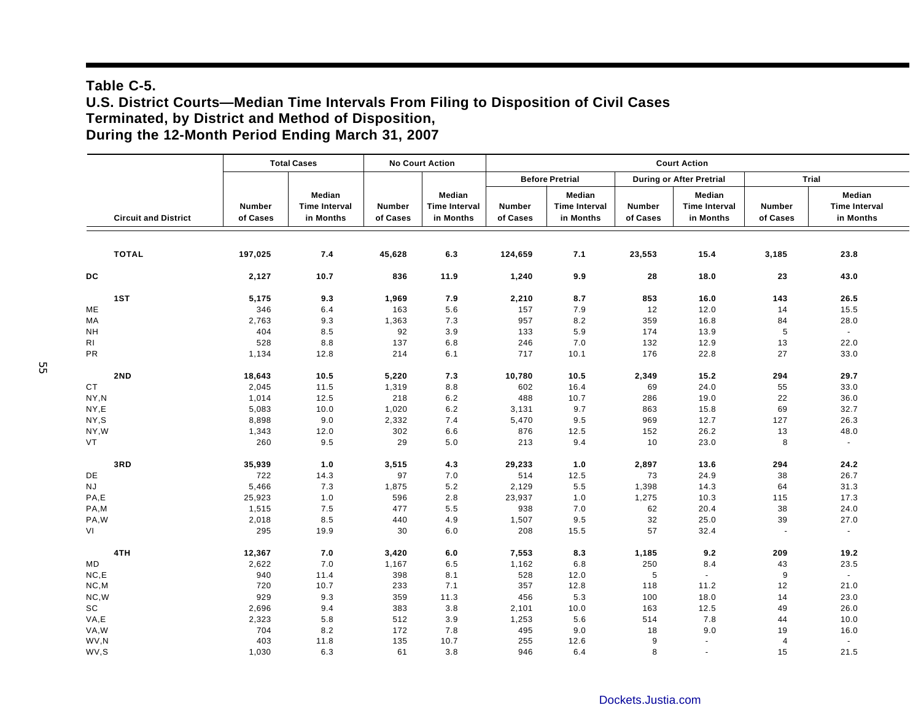## **Table C-5. U.S. District Courts—Median Time Intervals From Filing to Disposition of Civil Cases Terminated, by District and Method of Disposition, During the 12-Month Period Ending March 31, 2007**

|                              |                           | <b>Total Cases</b>                          |                    | <b>No Court Action</b>                      |                        | <b>Court Action</b>                         |                                 |                                             |                           |                                             |  |  |
|------------------------------|---------------------------|---------------------------------------------|--------------------|---------------------------------------------|------------------------|---------------------------------------------|---------------------------------|---------------------------------------------|---------------------------|---------------------------------------------|--|--|
|                              |                           |                                             |                    |                                             | <b>Before Pretrial</b> |                                             | <b>During or After Pretrial</b> |                                             | Trial                     |                                             |  |  |
| <b>Circuit and District</b>  | <b>Number</b><br>of Cases | Median<br><b>Time Interval</b><br>in Months | Number<br>of Cases | Median<br><b>Time Interval</b><br>in Months | Number<br>of Cases     | Median<br><b>Time Interval</b><br>in Months | Number<br>of Cases              | Median<br><b>Time Interval</b><br>in Months | <b>Number</b><br>of Cases | Median<br><b>Time Interval</b><br>in Months |  |  |
| <b>TOTAL</b>                 | 197,025                   | 7.4                                         | 45,628             | 6.3                                         | 124,659                | 7.1                                         | 23,553                          | 15.4                                        | 3,185                     | 23.8                                        |  |  |
| DC                           | 2,127                     | 10.7                                        | 836                | 11.9                                        | 1,240                  | 9.9                                         | 28                              | 18.0                                        | 23                        | 43.0                                        |  |  |
| 1ST                          | 5,175                     | 9.3                                         | 1,969              | 7.9                                         | 2,210                  | 8.7                                         | 853                             | 16.0                                        | 143                       | 26.5                                        |  |  |
| ME                           | 346                       | 6.4                                         | 163                | 5.6                                         | 157                    | 7.9                                         | 12                              | 12.0                                        | 14                        | 15.5                                        |  |  |
| MA                           | 2,763                     | 9.3                                         | 1,363              | 7.3                                         | 957                    | $8.2\,$                                     | 359                             | 16.8                                        | 84                        | 28.0                                        |  |  |
| <b>NH</b>                    | 404                       | 8.5                                         | 92                 | 3.9                                         | 133                    | 5.9                                         | 174                             | 13.9                                        | $\sqrt{5}$                | $\sim$                                      |  |  |
| RI                           | 528                       | 8.8                                         | 137                | 6.8                                         | 246                    | 7.0                                         | 132                             | 12.9                                        | 13                        | 22.0                                        |  |  |
| PR                           | 1,134                     | 12.8                                        | 214                | 6.1                                         | 717                    | 10.1                                        | 176                             | 22.8                                        | 27                        | 33.0                                        |  |  |
| 2ND                          | 18,643                    | 10.5                                        | 5,220              | 7.3                                         | 10,780                 | 10.5                                        | 2,349                           | 15.2                                        | 294                       | 29.7                                        |  |  |
| <b>CT</b>                    | 2,045                     | 11.5                                        | 1,319              | 8.8                                         | 602                    | 16.4                                        | 69                              | 24.0                                        | 55                        | 33.0                                        |  |  |
| NY,N                         | 1,014                     | 12.5                                        | 218                | 6.2                                         | 488                    | 10.7                                        | 286                             | 19.0                                        | 22                        | 36.0                                        |  |  |
| NY,E                         | 5,083                     | 10.0                                        | 1,020              | 6.2                                         | 3,131                  | 9.7                                         | 863                             | 15.8                                        | 69                        | 32.7                                        |  |  |
| NY,S                         | 8,898                     | 9.0                                         | 2,332              | 7.4                                         | 5,470                  | 9.5                                         | 969                             | 12.7                                        | 127                       | 26.3                                        |  |  |
| NY, W                        | 1,343                     | 12.0                                        | 302                | 6.6                                         | 876                    | 12.5                                        | 152                             | 26.2                                        | 13                        | 48.0                                        |  |  |
| <b>VT</b>                    | 260                       | 9.5                                         | 29                 | 5.0                                         | 213                    | 9.4                                         | 10                              | 23.0                                        | 8                         | $\sim$                                      |  |  |
| 3RD                          | 35,939                    | 1.0                                         | 3,515              | 4.3                                         | 29,233                 | 1.0                                         | 2,897                           | 13.6                                        | 294                       | 24.2                                        |  |  |
| DE                           | 722                       | 14.3                                        | 97                 | 7.0                                         | 514                    | 12.5                                        | 73                              | 24.9                                        | 38                        | 26.7                                        |  |  |
| NJ                           | 5,466                     | 7.3                                         | 1,875              | 5.2                                         | 2,129                  | 5.5                                         | 1,398                           | 14.3                                        | 64                        | 31.3                                        |  |  |
| PA,E                         | 25,923                    | 1.0                                         | 596                | 2.8                                         | 23,937                 | 1.0                                         | 1,275                           | 10.3                                        | 115                       | 17.3                                        |  |  |
| PA,M                         | 1,515                     | 7.5                                         | 477                | 5.5                                         | 938                    | 7.0                                         | 62                              | 20.4                                        | 38                        | 24.0                                        |  |  |
| PA,W                         | 2,018                     | 8.5                                         | 440                | 4.9                                         | 1,507                  | 9.5                                         | 32                              | 25.0                                        | 39                        | 27.0                                        |  |  |
| VI                           | 295                       | 19.9                                        | 30                 | 6.0                                         | 208                    | 15.5                                        | 57                              | 32.4                                        | $\sim$                    | $\sim$                                      |  |  |
| 4TH                          | 12,367                    | 7.0                                         | 3,420              | 6.0                                         | 7,553                  | 8.3                                         | 1,185                           | 9.2                                         | 209                       | 19.2                                        |  |  |
| MD                           | 2,622                     | 7.0                                         | 1,167              | 6.5                                         | 1,162                  | 6.8                                         | 250                             | 8.4                                         | 43                        | 23.5                                        |  |  |
| NC, E                        | 940                       | 11.4                                        | 398                | 8.1                                         | 528                    | 12.0                                        | 5                               | $\sim$                                      | 9                         | $\omega$                                    |  |  |
| NC, M                        | 720                       | 10.7                                        | 233                | 7.1                                         | 357                    | 12.8                                        | 118                             | 11.2                                        | 12                        | 21.0                                        |  |  |
| NC,W                         | 929                       | 9.3                                         | 359                | 11.3                                        | 456                    | 5.3                                         | 100                             | 18.0                                        | 14                        | 23.0                                        |  |  |
| $\operatorname{\textsf{sc}}$ | 2,696                     | 9.4                                         | 383                | 3.8                                         | 2,101                  | 10.0                                        | 163                             | 12.5                                        | 49                        | 26.0                                        |  |  |
| VA,E                         | 2,323                     | 5.8                                         | 512                | 3.9                                         | 1,253                  | 5.6                                         | 514                             | 7.8                                         | 44                        | 10.0                                        |  |  |
| VA, W                        | 704                       | 8.2                                         | 172                | 7.8                                         | 495                    | 9.0                                         | 18                              | 9.0                                         | 19                        | 16.0                                        |  |  |
| WV,N                         | 403                       | 11.8                                        | 135                | 10.7                                        | 255                    | 12.6                                        | 9                               | $\overline{\phantom{a}}$                    | $\overline{4}$            | $\sim$                                      |  |  |
| WV,S                         | 1,030                     | 6.3                                         | 61                 | 3.8                                         | 946                    | 6.4                                         | 8                               | $\sim$                                      | 15                        | 21.5                                        |  |  |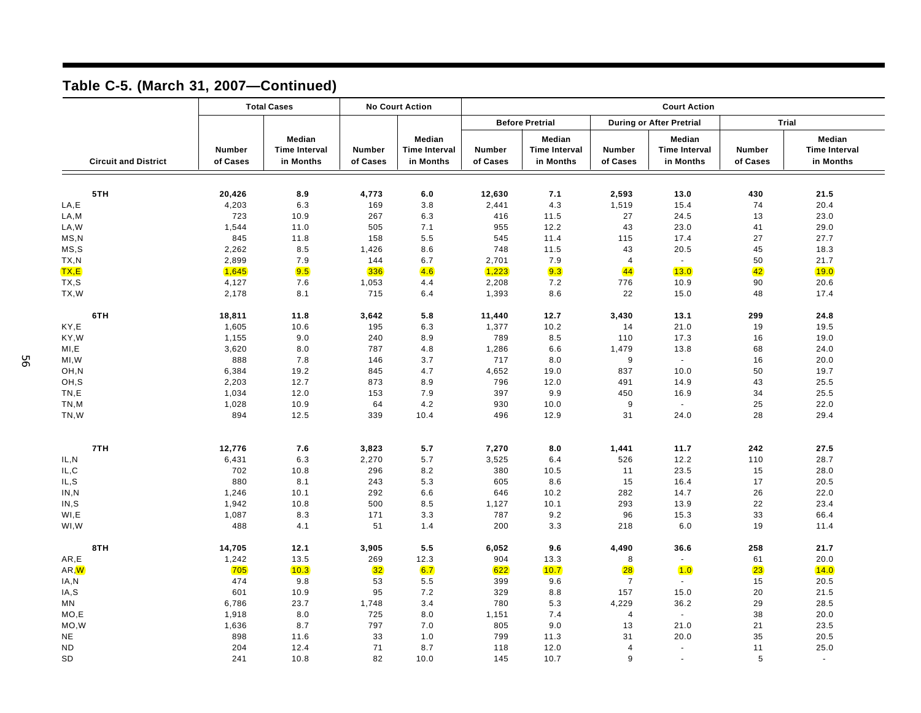|                     |                             | <b>Total Cases</b>        |                                             | <b>No Court Action</b>    |                                             | <b>Court Action</b>       |                                             |                                 |                                             |                    |                                             |  |
|---------------------|-----------------------------|---------------------------|---------------------------------------------|---------------------------|---------------------------------------------|---------------------------|---------------------------------------------|---------------------------------|---------------------------------------------|--------------------|---------------------------------------------|--|
|                     |                             |                           |                                             |                           |                                             | <b>Before Pretrial</b>    |                                             | <b>During or After Pretrial</b> |                                             | Trial              |                                             |  |
|                     | <b>Circuit and District</b> | <b>Number</b><br>of Cases | Median<br><b>Time Interval</b><br>in Months | <b>Number</b><br>of Cases | Median<br><b>Time Interval</b><br>in Months | <b>Number</b><br>of Cases | Median<br><b>Time Interval</b><br>in Months | Number<br>of Cases              | Median<br><b>Time Interval</b><br>in Months | Number<br>of Cases | Median<br><b>Time Interval</b><br>in Months |  |
|                     |                             |                           |                                             |                           |                                             |                           |                                             |                                 |                                             |                    |                                             |  |
|                     | 5TH                         | 20,426                    | 8.9                                         | 4,773                     | 6.0                                         | 12,630                    | 7.1                                         | 2,593                           | 13.0                                        | 430                | 21.5                                        |  |
| LA,E                |                             | 4,203                     | 6.3                                         | 169                       | 3.8                                         | 2,441                     | 4.3                                         | 1,519                           | 15.4                                        | 74                 | 20.4                                        |  |
| ${\sf LA}, {\sf M}$ |                             | 723                       | 10.9                                        | 267                       | 6.3                                         | 416                       | 11.5                                        | 27                              | 24.5                                        | 13                 | 23.0                                        |  |
| LA, W               |                             | 1,544                     | 11.0                                        | 505                       | 7.1                                         | 955                       | 12.2                                        | 43                              | 23.0                                        | 41                 | 29.0                                        |  |
| MS, N               |                             | 845                       | 11.8                                        | 158                       | 5.5                                         | 545                       | 11.4                                        | 115                             | 17.4                                        | 27                 | 27.7                                        |  |
| MS, S               |                             | 2,262                     | 8.5                                         | 1,426                     | 8.6                                         | 748                       | 11.5                                        | 43                              | 20.5                                        | 45                 | 18.3                                        |  |
| TX, N               |                             | 2,899                     | 7.9                                         | 144                       | 6.7                                         | 2,701                     | 7.9                                         | $\overline{4}$                  | $\sim$                                      | 50                 | 21.7                                        |  |
| TX, E               |                             | 1,645                     | 9.5                                         | 336                       | 4.6                                         | 1,223                     | 9.3                                         | 44                              | 13.0                                        | 42                 | 19.0                                        |  |
| TX, S               |                             | 4,127                     | 7.6                                         | 1,053                     | 4.4                                         | 2,208                     | 7.2                                         | 776                             | 10.9                                        | 90                 | 20.6                                        |  |
| TX, W               |                             | 2,178                     | 8.1                                         | 715                       | 6.4                                         | 1,393                     | 8.6                                         | 22                              | 15.0                                        | 48                 | 17.4                                        |  |
|                     | 6TH                         | 18,811                    | 11.8                                        | 3,642                     | 5.8                                         | 11,440                    | 12.7                                        | 3,430                           | 13.1                                        | 299                | 24.8                                        |  |
| KY,E                |                             | 1,605                     | 10.6                                        | 195                       | 6.3                                         | 1,377                     | 10.2                                        | 14                              | 21.0                                        | 19                 | 19.5                                        |  |
| KY, W               |                             | 1,155                     | 9.0                                         | 240                       | 8.9                                         | 789                       | 8.5                                         | 110                             | 17.3                                        | 16                 | 19.0                                        |  |
| MI,E                |                             | 3,620                     | 8.0                                         | 787                       | 4.8                                         | 1,286                     | 6.6                                         | 1,479                           | 13.8                                        | 68                 | 24.0                                        |  |
| MI, W               |                             | 888                       | 7.8                                         | 146                       | 3.7                                         | 717                       | 8.0                                         | 9                               | $\sim$                                      | 16                 | 20.0                                        |  |
| OH,N                |                             | 6,384                     | 19.2                                        | 845                       | 4.7                                         | 4,652                     | 19.0                                        | 837                             | 10.0                                        | 50                 | 19.7                                        |  |
| OH, S               |                             | 2,203                     | 12.7                                        | 873                       | 8.9                                         | 796                       | 12.0                                        | 491                             | 14.9                                        | 43                 | 25.5                                        |  |
| TN,E                |                             | 1,034                     | 12.0                                        | 153                       | 7.9                                         | 397                       | 9.9                                         | 450                             | 16.9                                        | 34                 | 25.5                                        |  |
| TN,M                |                             | 1,028                     | 10.9                                        | 64                        | 4.2                                         | 930                       | 10.0                                        | 9                               | $\sim$                                      | 25                 | 22.0                                        |  |
| TN,W                |                             | 894                       | 12.5                                        | 339                       | 10.4                                        | 496                       | 12.9                                        | 31                              | 24.0                                        | 28                 | 29.4                                        |  |
|                     | 7TH                         | 12,776                    | 7.6                                         | 3,823                     | 5.7                                         | 7,270                     | 8.0                                         | 1,441                           | 11.7                                        | 242                | 27.5                                        |  |
| IL, N               |                             | 6,431                     | 6.3                                         | 2,270                     | 5.7                                         | 3,525                     | 6.4                                         | 526                             | 12.2                                        | 110                | 28.7                                        |  |
| IL, C               |                             | 702                       | 10.8                                        | 296                       | 8.2                                         | 380                       | 10.5                                        | 11                              | 23.5                                        | 15                 | 28.0                                        |  |
| IL, S               |                             | 880                       | 8.1                                         | 243                       | 5.3                                         | 605                       | 8.6                                         | 15                              | 16.4                                        | 17                 | 20.5                                        |  |
| IN, N               |                             | 1,246                     | 10.1                                        | 292                       | 6.6                                         | 646                       | 10.2                                        | 282                             | 14.7                                        | 26                 | 22.0                                        |  |
| IN, S               |                             | 1,942                     | 10.8                                        | 500                       | 8.5                                         | 1,127                     | 10.1                                        | 293                             | 13.9                                        | 22                 | 23.4                                        |  |
| WI,E                |                             | 1,087                     | 8.3                                         | 171                       | 3.3                                         | 787                       | 9.2                                         | 96                              | 15.3                                        | 33                 | 66.4                                        |  |
| WI, W               |                             | 488                       | 4.1                                         | 51                        | 1.4                                         | 200                       | 3.3                                         | 218                             | 6.0                                         | 19                 | 11.4                                        |  |
|                     | 8TH                         | 14,705                    | 12.1                                        | 3,905                     | 5.5                                         | 6,052                     | 9.6                                         | 4,490                           | 36.6                                        | 258                | 21.7                                        |  |
| AR,E                |                             | 1,242                     | 13.5                                        | 269                       | 12.3                                        | 904                       | 13.3                                        | 8                               | $\sim$                                      | 61                 | 20.0                                        |  |
| AR, W               |                             | 705                       | 10.3                                        | 32                        | 6.7                                         | 622                       | 10.7                                        | <b>28</b>                       | 1.0                                         | 23                 | 14.0                                        |  |
| IA, N               |                             | 474                       | 9.8                                         | 53                        | 5.5                                         | 399                       | 9.6                                         | $\overline{7}$                  | $\sim$                                      | 15                 | 20.5                                        |  |
| IA,S                |                             | 601                       | 10.9                                        | 95                        | 7.2                                         | 329                       | 8.8                                         | 157                             | 15.0                                        | 20                 | 21.5                                        |  |
| MN                  |                             | 6,786                     | 23.7                                        | 1,748                     | 3.4                                         | 780                       | 5.3                                         | 4,229                           | 36.2                                        | 29                 | 28.5                                        |  |
| MO, E               |                             | 1,918                     | 8.0                                         | 725                       | 8.0                                         | 1,151                     | 7.4                                         | $\overline{4}$                  | $\mathcal{L}$                               | 38                 | 20.0                                        |  |
| MO, W               |                             | 1,636                     | 8.7                                         | 797                       | 7.0                                         | 805                       | 9.0                                         | 13                              | 21.0                                        | 21                 | 23.5                                        |  |
| <b>NE</b>           |                             | 898                       | 11.6                                        | 33                        | 1.0                                         | 799                       | 11.3                                        | 31                              | 20.0                                        | 35                 | 20.5                                        |  |
| <b>ND</b>           |                             | 204                       | 12.4                                        | 71                        | 8.7                                         | 118                       | 12.0                                        | $\overline{4}$                  | $\blacksquare$                              | 11                 | 25.0                                        |  |
| <b>SD</b>           |                             | 241                       | 10.8                                        | 82                        | 10.0                                        | 145                       | 10.7                                        | 9                               | $\sim$                                      | 5                  | $\sim$                                      |  |

## **Table C-5. (March 31, 2007—Continued)**